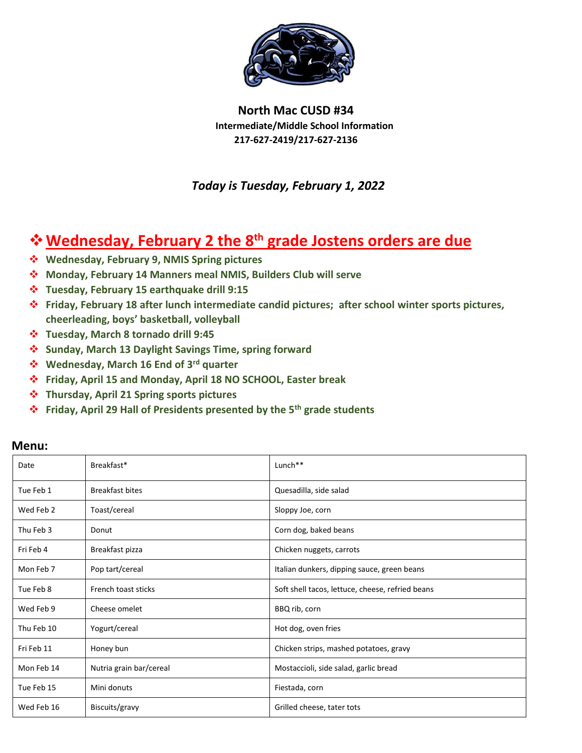

**North Mac CUSD #34 Intermediate/Middle School Information 217-627-2419/217-627-2136**

 *Today is Tuesday, February 1, 2022*

## **Wednesday, February 2 the 8th grade Jostens orders are due**

- **Wednesday, February 9, NMIS Spring pictures**
- **Monday, February 14 Manners meal NMIS, Builders Club will serve**
- **Tuesday, February 15 earthquake drill 9:15**
- **Friday, February 18 after lunch intermediate candid pictures; after school winter sports pictures, cheerleading, boys' basketball, volleyball**
- **Tuesday, March 8 tornado drill 9:45**
- **Sunday, March 13 Daylight Savings Time, spring forward**
- **Wednesday, March 16 End of 3rd quarter**
- **Friday, April 15 and Monday, April 18 NO SCHOOL, Easter break**
- **Thursday, April 21 Spring sports pictures**
- **Friday, April 29 Hall of Presidents presented by the 5th grade students**

| Date       | Breakfast*              | Lunch**                                          |
|------------|-------------------------|--------------------------------------------------|
| Tue Feb 1  | <b>Breakfast bites</b>  | Quesadilla, side salad                           |
| Wed Feb 2  | Toast/cereal            | Sloppy Joe, corn                                 |
| Thu Feb 3  | Donut                   | Corn dog, baked beans                            |
| Fri Feb 4  | Breakfast pizza         | Chicken nuggets, carrots                         |
| Mon Feb 7  | Pop tart/cereal         | Italian dunkers, dipping sauce, green beans      |
| Tue Feb 8  | French toast sticks     | Soft shell tacos, lettuce, cheese, refried beans |
| Wed Feb 9  | Cheese omelet           | BBQ rib, corn                                    |
| Thu Feb 10 | Yogurt/cereal           | Hot dog, oven fries                              |
| Fri Feb 11 | Honey bun               | Chicken strips, mashed potatoes, gravy           |
| Mon Feb 14 | Nutria grain bar/cereal | Mostaccioli, side salad, garlic bread            |
| Tue Feb 15 | Mini donuts             | Fiestada, corn                                   |
| Wed Feb 16 | Biscuits/gravy          | Grilled cheese, tater tots                       |

## **Menu:**